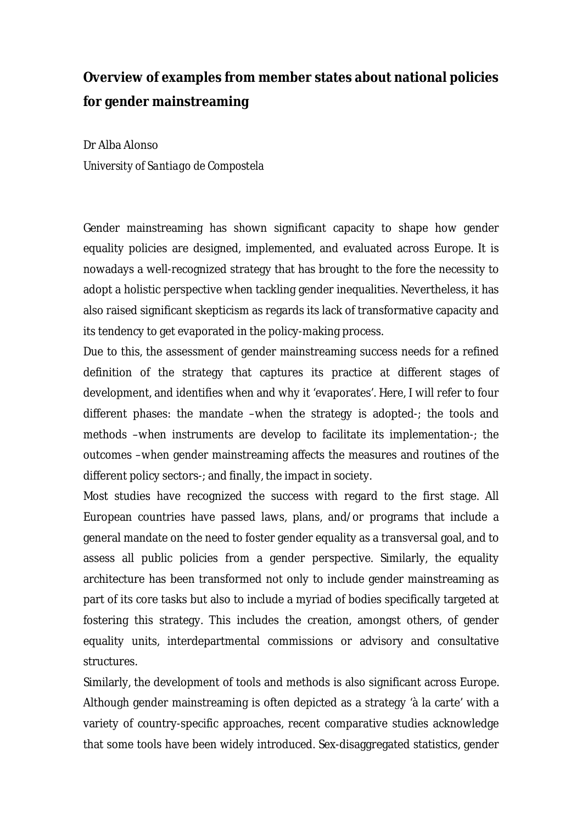## **Overview of examples from member states about national policies for gender mainstreaming**

Dr Alba Alonso *University of Santiago de Compostela*

Gender mainstreaming has shown significant capacity to shape how gender equality policies are designed, implemented, and evaluated across Europe. It is nowadays a well-recognized strategy that has brought to the fore the necessity to adopt a holistic perspective when tackling gender inequalities. Nevertheless, it has also raised significant skepticism as regards its lack of transformative capacity and its tendency to get evaporated in the policy-making process.

Due to this, the assessment of gender mainstreaming success needs for a refined definition of the strategy that captures its practice at different stages of development, and identifies when and why it 'evaporates'. Here, I will refer to four different phases: the mandate –when the strategy is adopted-; the tools and methods –when instruments are develop to facilitate its implementation-; the outcomes –when gender mainstreaming affects the measures and routines of the different policy sectors-; and finally, the impact in society.

Most studies have recognized the success with regard to the first stage. All European countries have passed laws, plans, and/or programs that include a general mandate on the need to foster gender equality as a transversal goal, and to assess all public policies from a gender perspective. Similarly, the equality architecture has been transformed not only to include gender mainstreaming as part of its core tasks but also to include a myriad of bodies specifically targeted at fostering this strategy. This includes the creation, amongst others, of gender equality units, interdepartmental commissions or advisory and consultative structures.

Similarly, the development of tools and methods is also significant across Europe. Although gender mainstreaming is often depicted as a strategy 'à la carte' with a variety of country-specific approaches, recent comparative studies acknowledge that some tools have been widely introduced. Sex-disaggregated statistics, gender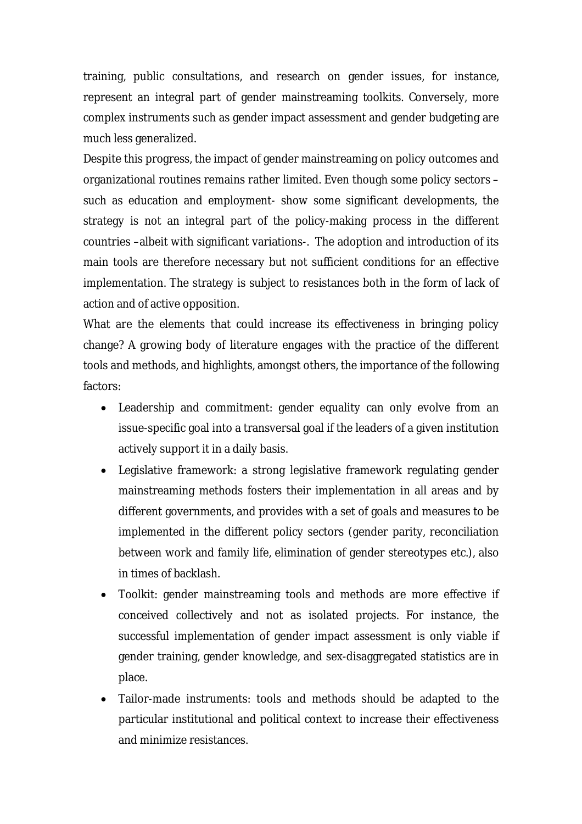training, public consultations, and research on gender issues, for instance, represent an integral part of gender mainstreaming toolkits. Conversely, more complex instruments such as gender impact assessment and gender budgeting are much less generalized.

Despite this progress, the impact of gender mainstreaming on policy outcomes and organizational routines remains rather limited. Even though some policy sectors – such as education and employment- show some significant developments, the strategy is not an integral part of the policy-making process in the different countries –albeit with significant variations-. The adoption and introduction of its main tools are therefore necessary but not sufficient conditions for an effective implementation. The strategy is subject to resistances both in the form of lack of action and of active opposition.

What are the elements that could increase its effectiveness in bringing policy change? A growing body of literature engages with the practice of the different tools and methods, and highlights, amongst others, the importance of the following factors:

- Leadership and commitment: gender equality can only evolve from an issue-specific goal into a transversal goal if the leaders of a given institution actively support it in a daily basis.
- Legislative framework: a strong legislative framework regulating gender mainstreaming methods fosters their implementation in all areas and by different governments, and provides with a set of goals and measures to be implemented in the different policy sectors (gender parity, reconciliation between work and family life, elimination of gender stereotypes etc.), also in times of backlash.
- Toolkit: gender mainstreaming tools and methods are more effective if conceived collectively and not as isolated projects. For instance, the successful implementation of gender impact assessment is only viable if gender training, gender knowledge, and sex-disaggregated statistics are in place.
- Tailor-made instruments: tools and methods should be adapted to the particular institutional and political context to increase their effectiveness and minimize resistances.